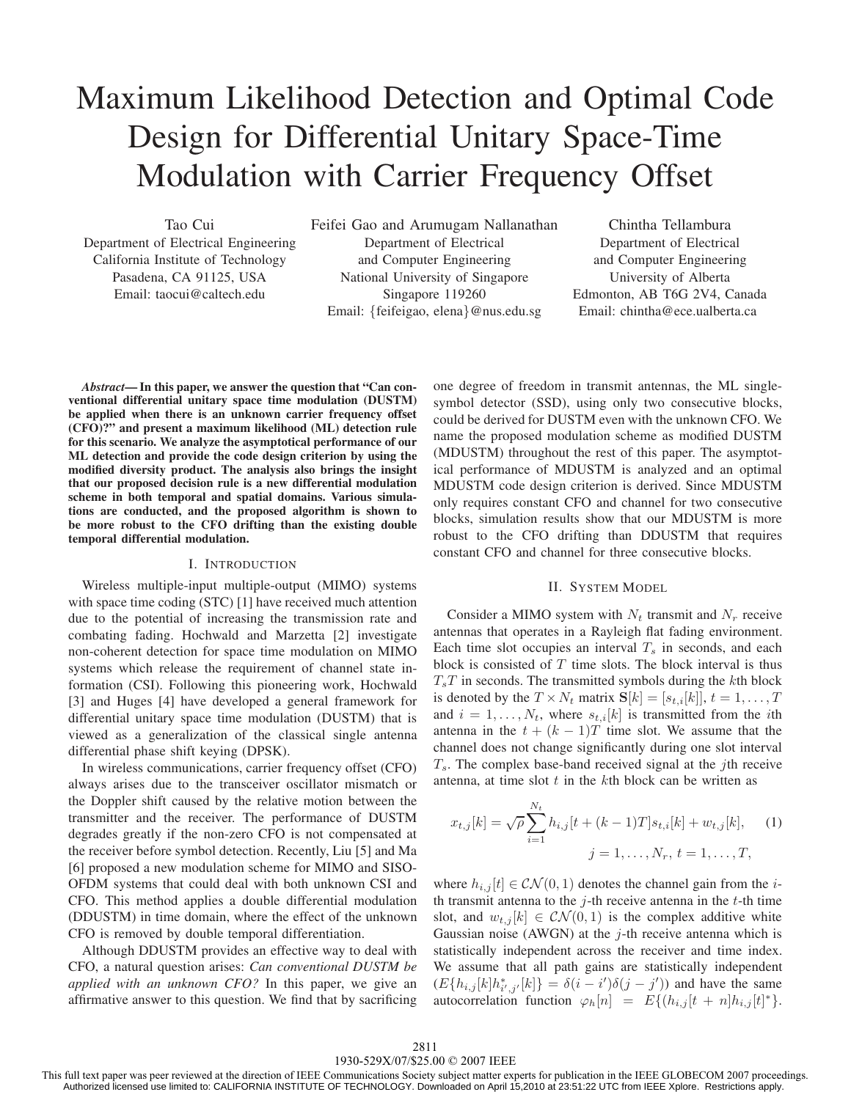# Maximum Likelihood Detection and Optimal Code Design for Differential Unitary Space-Time Modulation with Carrier Frequency Offset

Tao Cui

Department of Electrical Engineering California Institute of Technology Pasadena, CA 91125, USA Email: taocui@caltech.edu

Feifei Gao and Arumugam Nallanathan Department of Electrical and Computer Engineering National University of Singapore Singapore 119260 Email: {feifeigao, elena}@nus.edu.sg

Chintha Tellambura Department of Electrical and Computer Engineering University of Alberta Edmonton, AB T6G 2V4, Canada Email: chintha@ece.ualberta.ca

*Abstract***— In this paper, we answer the question that "Can conventional differential unitary space time modulation (DUSTM) be applied when there is an unknown carrier frequency offset (CFO)?" and present a maximum likelihood (ML) detection rule for this scenario. We analyze the asymptotical performance of our ML detection and provide the code design criterion by using the modified diversity product. The analysis also brings the insight that our proposed decision rule is a new differential modulation scheme in both temporal and spatial domains. Various simulations are conducted, and the proposed algorithm is shown to be more robust to the CFO drifting than the existing double temporal differential modulation.**

## I. INTRODUCTION

Wireless multiple-input multiple-output (MIMO) systems with space time coding (STC) [1] have received much attention due to the potential of increasing the transmission rate and combating fading. Hochwald and Marzetta [2] investigate non-coherent detection for space time modulation on MIMO systems which release the requirement of channel state information (CSI). Following this pioneering work, Hochwald [3] and Huges [4] have developed a general framework for differential unitary space time modulation (DUSTM) that is viewed as a generalization of the classical single antenna differential phase shift keying (DPSK).

In wireless communications, carrier frequency offset (CFO) always arises due to the transceiver oscillator mismatch or the Doppler shift caused by the relative motion between the transmitter and the receiver. The performance of DUSTM degrades greatly if the non-zero CFO is not compensated at the receiver before symbol detection. Recently, Liu [5] and Ma [6] proposed a new modulation scheme for MIMO and SISO-OFDM systems that could deal with both unknown CSI and CFO. This method applies a double differential modulation (DDUSTM) in time domain, where the effect of the unknown CFO is removed by double temporal differentiation.

Although DDUSTM provides an effective way to deal with CFO, a natural question arises: *Can conventional DUSTM be applied with an unknown CFO?* In this paper, we give an affirmative answer to this question. We find that by sacrificing

one degree of freedom in transmit antennas, the ML singlesymbol detector (SSD), using only two consecutive blocks, could be derived for DUSTM even with the unknown CFO. We name the proposed modulation scheme as modified DUSTM (MDUSTM) throughout the rest of this paper. The asymptotical performance of MDUSTM is analyzed and an optimal MDUSTM code design criterion is derived. Since MDUSTM only requires constant CFO and channel for two consecutive blocks, simulation results show that our MDUSTM is more robust to the CFO drifting than DDUSTM that requires constant CFO and channel for three consecutive blocks.

# II. SYSTEM MODEL

Consider a MIMO system with  $N_t$  transmit and  $N_r$  receive antennas that operates in a Rayleigh flat fading environment. Each time slot occupies an interval  $T<sub>s</sub>$  in seconds, and each block is consisted of  $T$  time slots. The block interval is thus  $T_sT$  in seconds. The transmitted symbols during the kth block is denoted by the  $T \times N_t$  matrix  $\mathbf{S}[k]=[s_{t,i}[k]], t = 1, \ldots, T$ and  $i = 1, \ldots, N_t$ , where  $s_{t,i}[k]$  is transmitted from the *i*th antenna in the  $t + (k - 1)T$  time slot. We assume that the channel does not change significantly during one slot interval  $T<sub>s</sub>$ . The complex base-band received signal at the *j*th receive antenna, at time slot  $t$  in the  $k$ th block can be written as

$$
x_{t,j}[k] = \sqrt{\rho} \sum_{i=1}^{N_t} h_{i,j}[t + (k-1)T]s_{t,i}[k] + w_{t,j}[k], \quad (1)
$$

$$
j = 1, \dots, N_r, t = 1, \dots, T,
$$

where  $h_{i,j}[t] \in \mathcal{CN}(0,1)$  denotes the channel gain from the *i*th transmit antenna to the  $j$ -th receive antenna in the  $t$ -th time slot, and  $w_{t,j}[k] \in \mathcal{CN}(0,1)$  is the complex additive white Gaussian noise (AWGN) at the  $j$ -th receive antenna which is statistically independent across the receiver and time index. We assume that all path gains are statistically independent  $(E\{h_{i,j}[k]h_{i',j'}^*[k]\} = \delta(i - i')\delta(j - j'))$  and have the same autocorrelation function  $\varphi_h[n] = E\{(h_{i,j}[t+n]h_{i,j}[t]^* \}.$ 

This full text paper was peer reviewed at the direction of IEEE Communications Society subject matter experts for publication in the IEEE GLOBECOM 2007 proceedings. Authorized licensed use limited to: CALIFORNIA INSTITUTE OF TECHNOLOGY. Downloaded on April 15,2010 at 23:51:22 UTC from IEEE Xplore. Restrictions apply.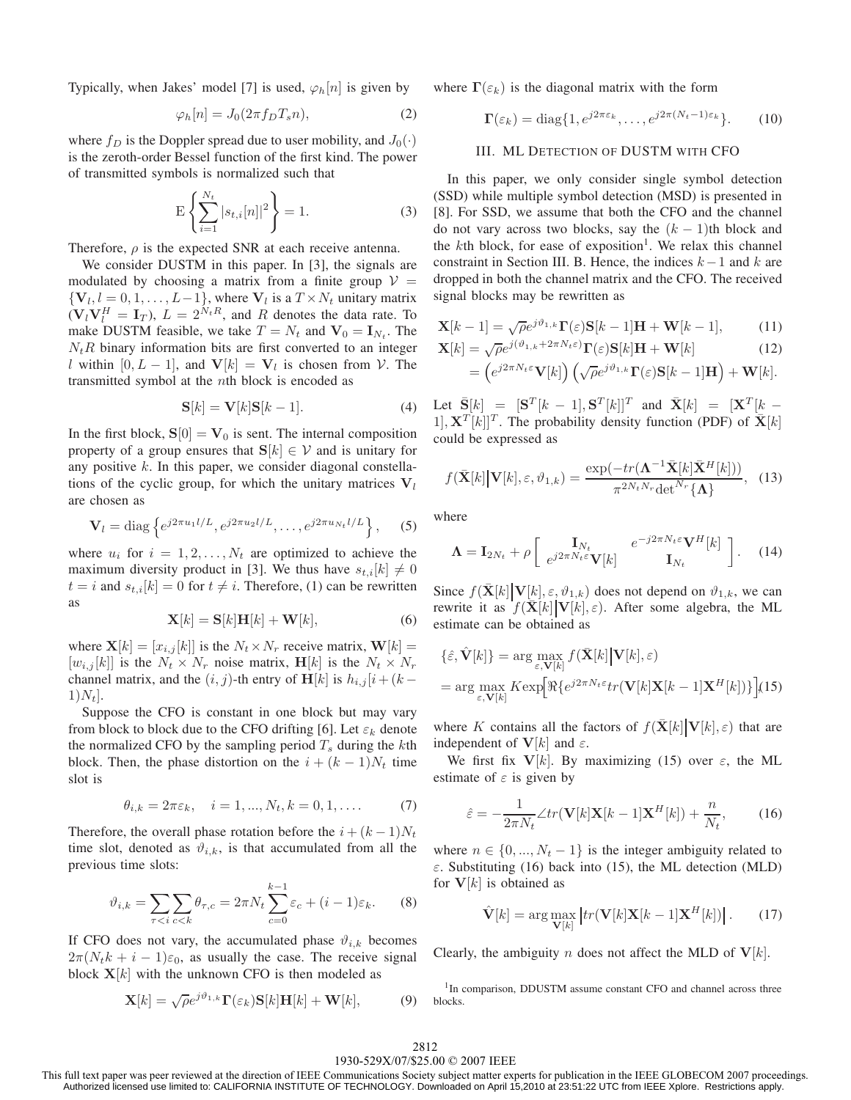Typically, when Jakes' model [7] is used,  $\varphi_h[n]$  is given by

$$
\varphi_h[n] = J_0(2\pi f_D T_s n),\tag{2}
$$

where  $f_D$  is the Doppler spread due to user mobility, and  $J_0(\cdot)$ is the zeroth-order Bessel function of the first kind. The power of transmitted symbols is normalized such that

$$
E\left\{\sum_{i=1}^{N_t} |s_{t,i}[n]|^2\right\} = 1.
$$
 (3)

Therefore,  $\rho$  is the expected SNR at each receive antenna.

We consider DUSTM in this paper. In [3], the signals are modulated by choosing a matrix from a finite group  $V =$  ${\bf V}_l, l = 0, 1, \ldots, L-1$ , where  ${\bf V}_l$  is a  $T \times N_t$  unitary matrix  $(\mathbf{V}_l \mathbf{V}_l^H = \mathbf{I}_T), L = 2^{N_t R}$ , and R denotes the data rate. To make DUSTM feasible, we take  $T = N_t$  and  $V_0 = I_{N_t}$ . The  $N_tR$  binary information bits are first converted to an integer l within  $[0, L - 1]$ , and  $V[k] = V_l$  is chosen from V. The transmitted symbol at the nth block is encoded as

$$
\mathbf{S}[k] = \mathbf{V}[k]\mathbf{S}[k-1].\tag{4}
$$

In the first block,  $S[0] = V_0$  is sent. The internal composition property of a group ensures that **S**[ $k$ ]  $\in$   $V$  and is unitary for any positive k. In this paper, we consider diagonal constellations of the cyclic group, for which the unitary matrices  $V_l$ are chosen as

$$
\mathbf{V}_l = \text{diag}\left\{e^{j2\pi u_1 l/L}, e^{j2\pi u_2 l/L}, \dots, e^{j2\pi u_{N_t} l/L}\right\},\tag{5}
$$

where  $u_i$  for  $i = 1, 2, ..., N_t$  are optimized to achieve the maximum diversity product in [3]. We thus have  $s_{t,i}[k] \neq 0$  $t = i$  and  $s_{t,i}[k] = 0$  for  $t \neq i$ . Therefore, (1) can be rewritten as

$$
\mathbf{X}[k] = \mathbf{S}[k]\mathbf{H}[k] + \mathbf{W}[k],\tag{6}
$$

where  $\mathbf{X}[k]=[x_{i,j}[k]]$  is the  $N_t\times N_r$  receive matrix,  $\mathbf{W}[k] =$  $[w_{i,j}[k]]$  is the  $N_t \times N_r$  noise matrix,  $\mathbf{H}[k]$  is the  $N_t \times N_r$ channel matrix, and the  $(i, j)$ -th entry of **H**[k] is  $h_{i,j}$ [i+ (k –  $1)N_t$ .

Suppose the CFO is constant in one block but may vary from block to block due to the CFO drifting [6]. Let  $\varepsilon_k$  denote the normalized CFO by the sampling period  $T_s$  during the kth block. Then, the phase distortion on the  $i + (k-1)N_t$  time slot is

$$
\theta_{i,k} = 2\pi\varepsilon_k, \quad i = 1, ..., N_t, k = 0, 1, .... \tag{7}
$$

Therefore, the overall phase rotation before the  $i + (k-1)N_t$ time slot, denoted as  $\vartheta_{i,k}$ , is that accumulated from all the previous time slots:

$$
\vartheta_{i,k} = \sum_{\tau < i} \sum_{c < k} \theta_{\tau,c} = 2\pi N_t \sum_{c=0}^{k-1} \varepsilon_c + (i-1)\varepsilon_k. \tag{8}
$$

If CFO does not vary, the accumulated phase  $\vartheta_{i,k}$  becomes  $2\pi(N_t k + i - 1)\varepsilon_0$ , as usually the case. The receive signal block  $X[k]$  with the unknown CFO is then modeled as

$$
\mathbf{X}[k] = \sqrt{\rho}e^{j\vartheta_{1,k}}\mathbf{\Gamma}(\varepsilon_k)\mathbf{S}[k]\mathbf{H}[k] + \mathbf{W}[k],\tag{9}
$$

where  $\Gamma(\varepsilon_k)$  is the diagonal matrix with the form

$$
\Gamma(\varepsilon_k) = \text{diag}\{1, e^{j2\pi\varepsilon_k}, \dots, e^{j2\pi(N_t - 1)\varepsilon_k}\}.
$$
 (10)

#### III. ML DETECTION OF DUSTM WITH CFO

In this paper, we only consider single symbol detection (SSD) while multiple symbol detection (MSD) is presented in [8]. For SSD, we assume that both the CFO and the channel do not vary across two blocks, say the  $(k - 1)$ th block and the  $k$ th block, for ease of exposition<sup>1</sup>. We relax this channel constraint in Section III. B. Hence, the indices  $k-1$  and k are dropped in both the channel matrix and the CFO. The received signal blocks may be rewritten as

$$
\mathbf{X}[k-1] = \sqrt{\rho}e^{j\vartheta_{1,k}}\mathbf{\Gamma}(\varepsilon)\mathbf{S}[k-1]\mathbf{H} + \mathbf{W}[k-1],\tag{11}
$$

$$
\mathbf{X}[k] = \sqrt{\rho} e^{j(\vartheta_{1,k} + 2\pi N_t \varepsilon)} \mathbf{\Gamma}(\varepsilon) \mathbf{S}[k] \mathbf{H} + \mathbf{W}[k]
$$
(12)

$$
= \left(e^{j2\pi N_t \varepsilon} \mathbf{V}[k]\right) \left(\sqrt{\rho} e^{j\vartheta_{1,k}} \mathbf{\Gamma}(\varepsilon) \mathbf{S}[k-1] \mathbf{H}\right) + \mathbf{W}[k].
$$

Let  $\bar{\mathbf{S}}[k] = [\mathbf{S}^T [k - 1], \mathbf{S}^T [k]]^T$  and  $\bar{\mathbf{X}}[k] = [\mathbf{X}^T [k - 1]]^T$ 1],  $\mathbf{X}^{T}[k]$ <sup>T</sup>. The probability density function (PDF) of  $\bar{\mathbf{X}}[k]$ could be expressed as

$$
f(\bar{\mathbf{X}}[k] \big| \mathbf{V}[k], \varepsilon, \vartheta_{1,k}) = \frac{\exp(-tr(\boldsymbol{\Lambda}^{-1} \bar{\mathbf{X}}[k] \bar{\mathbf{X}}^H[k]))}{\pi^{2N_t N_r} \det^{N_r} \{\boldsymbol{\Lambda}\}}, \quad (13)
$$

where

$$
\mathbf{\Lambda} = \mathbf{I}_{2N_t} + \rho \begin{bmatrix} \mathbf{I}_{N_t} & e^{-j2\pi N_t \varepsilon} \mathbf{V}^H[k] \\ e^{j2\pi N_t \varepsilon} \mathbf{V}[k] & \mathbf{I}_{N_t} \end{bmatrix} . \quad (14)
$$

Since  $f(\mathbf{X}[k] | \mathbf{V}[k], \varepsilon, \vartheta_{1,k})$  does not depend on  $\vartheta_{1,k}$ , we can rewrite it as  $f(\mathbf{X}[k] | \mathbf{V}[k], \varepsilon)$ . After some algebra, the ML estimate can be obtained as

$$
\{\hat{\varepsilon}, \hat{\mathbf{V}}[k]\} = \arg \max_{\varepsilon, \mathbf{V}[k]} f(\bar{\mathbf{X}}[k] | \mathbf{V}[k], \varepsilon)
$$

$$
= \arg \max_{\varepsilon, \mathbf{V}[k]} K \exp \left[ \Re \{ e^{j2\pi N_t \varepsilon} tr(\mathbf{V}[k] \mathbf{X}[k-1] \mathbf{X}^H[k]) \} \right], \text{(15)}
$$

where K contains all the factors of  $f(\mathbf{X}[k] | \mathbf{V}[k], \varepsilon)$  that are independent of  $V[k]$  and  $\varepsilon$ .

We first fix  $V[k]$ . By maximizing (15) over  $\varepsilon$ , the ML estimate of  $\varepsilon$  is given by

$$
\hat{\varepsilon} = -\frac{1}{2\pi N_t} \angle tr(\mathbf{V}[k]\mathbf{X}[k-1]\mathbf{X}^H[k]) + \frac{n}{N_t},\tag{16}
$$

where  $n \in \{0, ..., N_t - 1\}$  is the integer ambiguity related to  $\varepsilon$ . Substituting (16) back into (15), the ML detection (MLD) for **V**[k] is obtained as

$$
\hat{\mathbf{V}}[k] = \arg \max_{\mathbf{V}[k]} |tr(\mathbf{V}[k]\mathbf{X}[k-1]\mathbf{X}^H[k])|.
$$
 (17)

Clearly, the ambiguity *n* does not affect the MLD of  $V[k]$ .

<sup>1</sup>In comparison, DDUSTM assume constant CFO and channel across three blocks.

# 2812

#### 1930-529X/07/\$25.00 © 2007 IEEE

This full text paper was peer reviewed at the direction of IEEE Communications Society subject matter experts for publication in the IEEE GLOBECOM 2007 proceedings. Authorized licensed use limited to: CALIFORNIA INSTITUTE OF TECHNOLOGY. Downloaded on April 15,2010 at 23:51:22 UTC from IEEE Xplore. Restrictions apply.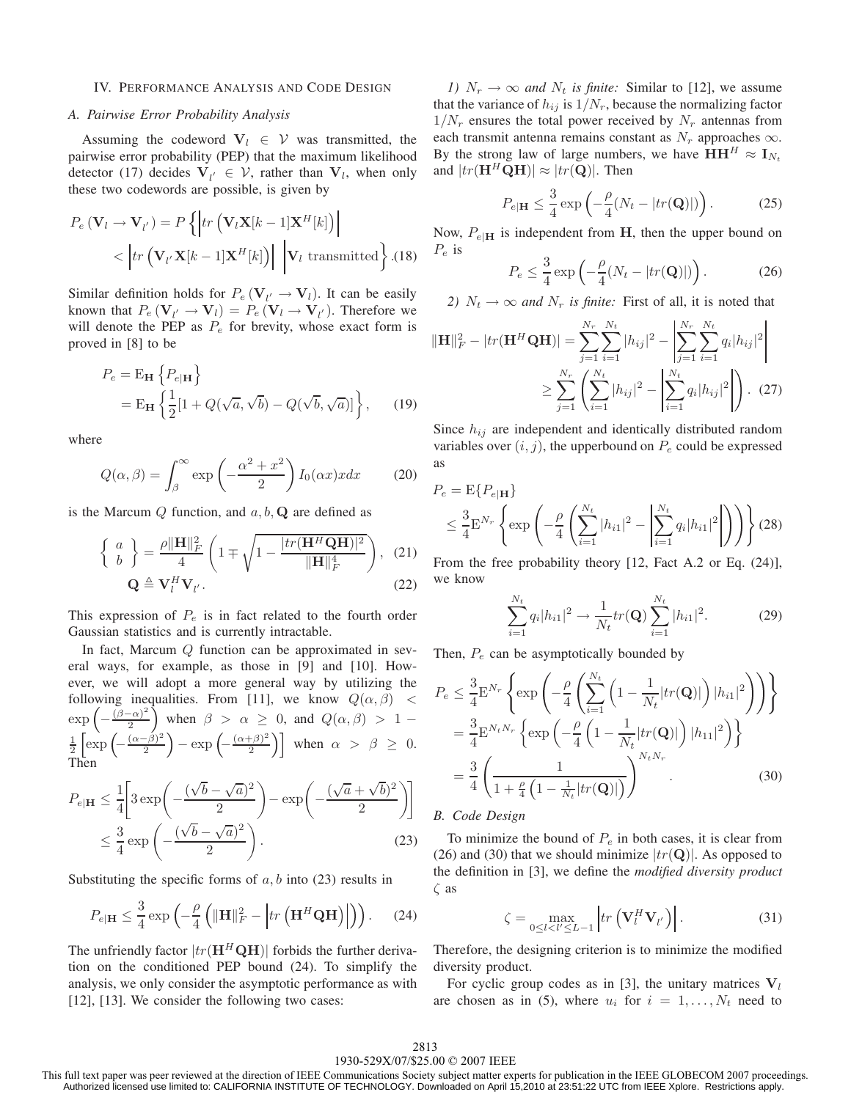#### IV. PERFORMANCE ANALYSIS AND CODE DESIGN

### *A. Pairwise Error Probability Analysis*

Assuming the codeword  $V_l \in V$  was transmitted, the pairwise error probability (PEP) that the maximum likelihood detector (17) decides  $V_{l'} \in V$ , rather than  $V_l$ , when only these two codewords are possible, is given by

$$
P_e (\mathbf{V}_l \rightarrow \mathbf{V}_{l'}) = P\left\{ \left| tr\left( \mathbf{V}_l \mathbf{X}[k-1] \mathbf{X}^H[k] \right) \right| \\ < \left| tr\left( \mathbf{V}_{l'} \mathbf{X}[k-1] \mathbf{X}^H[k] \right) \right| \left| \mathbf{V}_l \text{ transmitted} \right\} . (18)
$$

Similar definition holds for  $P_e$  ( $V_{l'} \rightarrow V_l$ ). It can be easily known that  $P_e(\mathbf{V}_{l'} \to \mathbf{V}_{l}) = P_e(\mathbf{V}_{l} \to \mathbf{V}_{l'})$ . Therefore we will denote the PEP as  $P_e$  for brevity, whose exact form is proved in [8] to be

$$
P_e = \mathbf{E_H} \left\{ P_{e|\mathbf{H}} \right\}
$$
  
=  $\mathbf{E_H} \left\{ \frac{1}{2} [1 + Q(\sqrt{a}, \sqrt{b}) - Q(\sqrt{b}, \sqrt{a})] \right\},$  (19)

where

$$
Q(\alpha, \beta) = \int_{\beta}^{\infty} \exp\left(-\frac{\alpha^2 + x^2}{2}\right) I_0(\alpha x) x dx \qquad (20)
$$

is the Marcum  $Q$  function, and  $a, b, Q$  are defined as

$$
\left\{ \begin{array}{c} a \\ b \end{array} \right\} = \frac{\rho \|\mathbf{H}\|_F^2}{4} \left( 1 \mp \sqrt{1 - \frac{|tr(\mathbf{H}^H \mathbf{Q} \mathbf{H})|^2}{\|\mathbf{H}\|_F^4}} \right), \tag{21}
$$

$$
\mathbf{Q} \triangleq \mathbf{V}_l^H \mathbf{V}_{l'}.
$$
 (22)

This expression of  $P_e$  is in fact related to the fourth order Gaussian statistics and is currently intractable.

In fact, Marcum Q function can be approximated in several ways, for example, as those in [9] and [10]. However, we will adopt a more general way by utilizing the following inequalities. From [11], we know  $Q(\alpha, \beta)$  <  $\exp\left(-\frac{(\beta-\alpha)^2}{2}\right)$  when  $\beta > \alpha \geq 0$ , and  $Q(\alpha,\beta) > 1$  –  $\frac{1}{2} \left[ \exp \left( - \frac{(\alpha - \beta)^2}{2} \right) - \exp \left( - \frac{(\alpha + \beta)^2}{2} \right) \right]$  when  $\alpha > \beta \ge 0$ . Then

$$
P_{e|\mathbf{H}} \le \frac{1}{4} \left[ 3 \exp\left( -\frac{(\sqrt{b} - \sqrt{a})^2}{2} \right) - \exp\left( -\frac{(\sqrt{a} + \sqrt{b})^2}{2} \right) \right]
$$
  

$$
\le \frac{3}{4} \exp\left( -\frac{(\sqrt{b} - \sqrt{a})^2}{2} \right).
$$
 (23)

Substituting the specific forms of  $a, b$  into (23) results in

$$
P_{e|\mathbf{H}} \leq \frac{3}{4} \exp\left(-\frac{\rho}{4} \left( \|\mathbf{H}\|_{F}^{2} - \left| tr\left(\mathbf{H}^{H} \mathbf{Q} \mathbf{H}\right) \right| \right) \right). \tag{24}
$$

The unfriendly factor  $|tr(\mathbf{H}^H \mathbf{Q} \mathbf{H})|$  forbids the further derivation on the conditioned PEP bound (24). To simplify the analysis, we only consider the asymptotic performance as with [12], [13]. We consider the following two cases:

*1)*  $N_r \rightarrow \infty$  *and*  $N_t$  *is finite:* Similar to [12], we assume that the variance of  $h_{ij}$  is  $1/N_r$ , because the normalizing factor  $1/N_r$  ensures the total power received by  $N_r$  antennas from each transmit antenna remains constant as  $N_r$  approaches  $\infty$ . By the strong law of large numbers, we have  $HH^H \approx I_{N_t}$ and  $|tr(\mathbf{H}^H \mathbf{Q} \mathbf{H})| \approx |tr(\mathbf{Q})|$ . Then

$$
P_{e|\mathbf{H}} \leq \frac{3}{4} \exp\left(-\frac{\rho}{4}(N_t - |tr(\mathbf{Q})|)\right). \tag{25}
$$

Now,  $P_{e|H}$  is independent from **H**, then the upper bound on  $P_e$  is

$$
P_e \leq \frac{3}{4} \exp\left(-\frac{\rho}{4}(N_t - |tr(\mathbf{Q})|)\right). \tag{26}
$$

*2)*  $N_t \rightarrow \infty$  *and*  $N_r$  *is finite:* First of all, it is noted that

$$
\|\mathbf{H}\|_{F}^{2} - |tr(\mathbf{H}^{H} \mathbf{Q} \mathbf{H})| = \sum_{j=1}^{N_{r}} \sum_{i=1}^{N_{t}} |h_{ij}|^{2} - \left| \sum_{j=1}^{N_{r}} \sum_{i=1}^{N_{t}} q_{i} |h_{ij}|^{2} \right|
$$

$$
\geq \sum_{j=1}^{N_{r}} \left( \sum_{i=1}^{N_{t}} |h_{ij}|^{2} - \left| \sum_{i=1}^{N_{t}} q_{i} |h_{ij}|^{2} \right| \right). (27)
$$

Since  $h_{ij}$  are independent and identically distributed random variables over  $(i, j)$ , the upperbound on  $P_e$  could be expressed as

$$
P_e = \mathbb{E}\{P_{e|\mathbf{H}}\}\
$$
  
\n
$$
\leq \frac{3}{4} \mathbb{E}^{N_r} \left\{ \exp\left(-\frac{\rho}{4} \left( \sum_{i=1}^{N_t} |h_{i1}|^2 - \left| \sum_{i=1}^{N_t} q_i |h_{i1}|^2 \right| \right) \right) \right\} (28)
$$

From the free probability theory [12, Fact A.2 or Eq. (24)], we know

$$
\sum_{i=1}^{N_t} q_i |h_{i1}|^2 \to \frac{1}{N_t} tr(\mathbf{Q}) \sum_{i=1}^{N_t} |h_{i1}|^2.
$$
 (29)

Then,  $P_e$  can be asymptotically bounded by

$$
P_e \leq \frac{3}{4} \mathbf{E}^{N_r} \left\{ \exp \left( -\frac{\rho}{4} \left( \sum_{i=1}^{N_t} \left( 1 - \frac{1}{N_t} |tr(\mathbf{Q})| \right) |h_{i1}|^2 \right) \right) \right\}
$$
  

$$
= \frac{3}{4} \mathbf{E}^{N_t N_r} \left\{ \exp \left( -\frac{\rho}{4} \left( 1 - \frac{1}{N_t} |tr(\mathbf{Q})| \right) |h_{11}|^2 \right) \right\}
$$
  

$$
= \frac{3}{4} \left( \frac{1}{1 + \frac{\rho}{4} \left( 1 - \frac{1}{N_t} |tr(\mathbf{Q})| \right)} \right)^{N_t N_r}
$$
 (30)

#### *B. Code Design*

To minimize the bound of  $P_e$  in both cases, it is clear from (26) and (30) that we should minimize  $|tr(\mathbf{Q})|$ . As opposed to the definition in [3], we define the *modified diversity product* ζ as

$$
\zeta = \max_{0 \le l < l' \le L-1} \left| tr \left( \mathbf{V}_l^H \mathbf{V}_{l'} \right) \right| . \tag{31}
$$

Therefore, the designing criterion is to minimize the modified diversity product.

For cyclic group codes as in [3], the unitary matrices  $V_l$ are chosen as in (5), where  $u_i$  for  $i = 1, \ldots, N_t$  need to

#### 1930-529X/07/\$25.00 © 2007 IEEE 2813

This full text paper was peer reviewed at the direction of IEEE Communications Society subject matter experts for publication in the IEEE GLOBECOM 2007 proceedings. Authorized licensed use limited to: CALIFORNIA INSTITUTE OF TECHNOLOGY. Downloaded on April 15,2010 at 23:51:22 UTC from IEEE Xplore. Restrictions apply.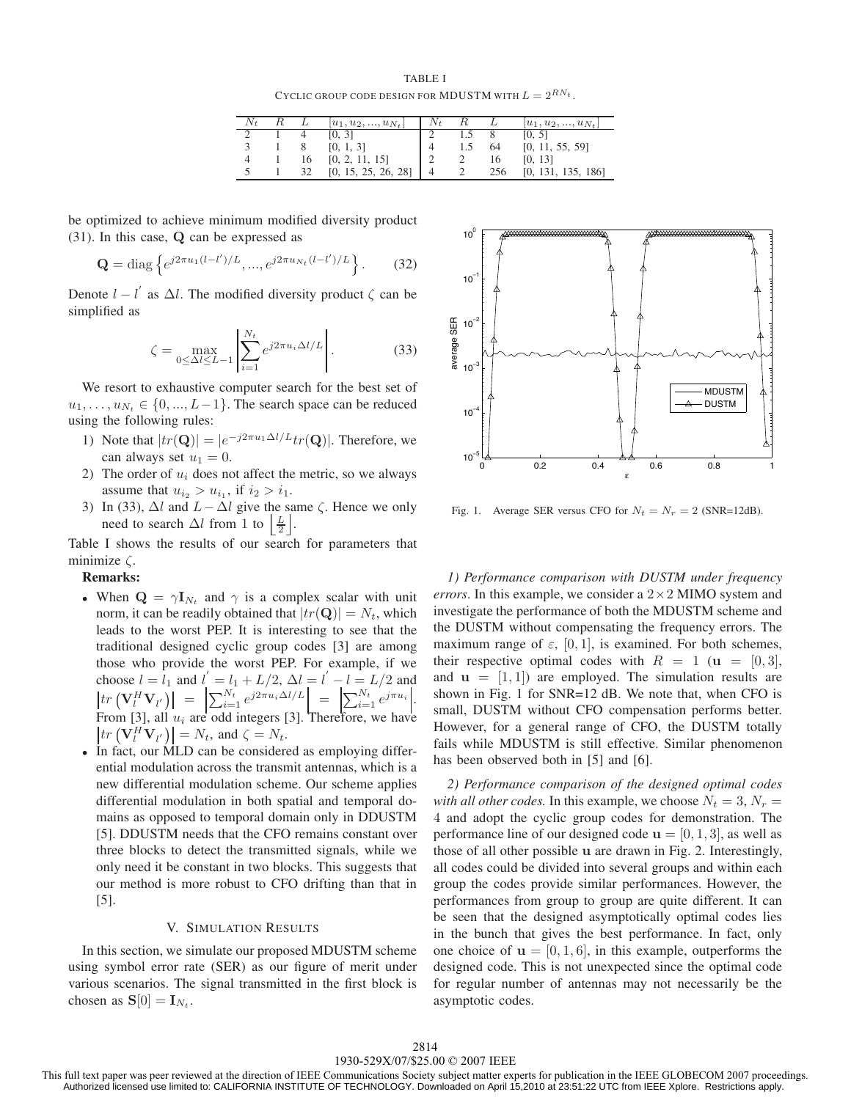TABLE I CYCLIC GROUP CODE DESIGN FOR MDUSTM WITH  $L = 2^{RN_t}$ .

|   |    | $ u_1, u_2, , u_{N_t} $ | $N_{t}$ |     | $ u_1, u_2, , u_{N_t} $ |
|---|----|-------------------------|---------|-----|-------------------------|
|   |    | [0, 3]                  |         |     | [0, 5]                  |
|   |    | [0, 1, 3]               |         | 64  | [0, 11, 55, 59]         |
| 4 | 16 | [0, 2, 11, 15]          |         | 16  | [0, 13]                 |
|   | 32 | [0, 15, 25, 26, 28]     | 4       | 256 | [0, 131, 135, 186]      |

be optimized to achieve minimum modified diversity product (31). In this case, **Q** can be expressed as

$$
\mathbf{Q} = \text{diag}\left\{e^{j2\pi u_1(l-l')/L}, ..., e^{j2\pi u_{N_t}(l-l')/L}\right\}.
$$
 (32)

Denote  $l - l'$  as  $\Delta l$ . The modified diversity product  $\zeta$  can be simplified as

$$
\zeta = \max_{0 \le \Delta l \le L-1} \left| \sum_{i=1}^{N_t} e^{j2\pi u_i \Delta l/L} \right|.
$$
 (33)

We resort to exhaustive computer search for the best set of  $u_1, \ldots, u_{N_t} \in \{0, \ldots, L-1\}$ . The search space can be reduced using the following rules:

- 1) Note that  $|tr(\mathbf{Q})| = |e^{-j2\pi u_1 \Delta l/L} tr(\mathbf{Q})|$ . Therefore, we can always set  $u_1 = 0$ .
- 2) The order of  $u_i$  does not affect the metric, so we always assume that  $u_{i_2} > u_{i_1}$ , if  $i_2 > i_1$ .
- 3) In (33),  $\Delta l$  and  $L \Delta l$  give the same  $\zeta$ . Hence we only need to search  $\Delta l$  from 1 to  $\left[\frac{L}{2}\right]$ .

Table I shows the results of our search for parameters that minimize ζ.

# **Remarks:**

- When  $\mathbf{Q} = \gamma \mathbf{I}_{N_t}$  and  $\gamma$  is a complex scalar with unit norm, it can be readily obtained that  $|tr(\mathbf{Q})| = N_t$ , which leads to the worst PEP. It is interesting to see that the traditional designed cyclic group codes [3] are among those who provide the worst PEP. For example, if we choose  $l = l_1$  and  $l' = l_1 + L/2$ ,  $\Delta l = l' - l = L/2$  and  $tr\left(\mathbf{V}_{l}^{H}\mathbf{V}_{l^{'}}\right)\right\vert = \left\vert \sum_{i=1}^{N_{t}}e^{j2\pi u_{i}\Delta l/L}\right\vert = \left\vert \sum_{i=1}^{N_{t}}e^{j\pi u_{i}}\right\vert.$ From [3], all  $u_i$  are odd integers [3]. Therefore, we have  $tr\left(\mathbf{V}_{l}^{H} \mathbf{V}_{l'}\right)\right| = N_{t}$ , and  $\zeta = N_{t}$ .
- In fact, our MLD can be considered as employing differential modulation across the transmit antennas, which is a new differential modulation scheme. Our scheme applies differential modulation in both spatial and temporal domains as opposed to temporal domain only in DDUSTM [5]. DDUSTM needs that the CFO remains constant over three blocks to detect the transmitted signals, while we only need it be constant in two blocks. This suggests that our method is more robust to CFO drifting than that in [5].

#### V. SIMULATION RESULTS

In this section, we simulate our proposed MDUSTM scheme using symbol error rate (SER) as our figure of merit under various scenarios. The signal transmitted in the first block is chosen as  $S[0] = I_{N_t}$ .



Fig. 1. Average SER versus CFO for  $N_t = N_r = 2$  (SNR=12dB).

*1) Performance comparison with DUSTM under frequency errors*. In this example, we consider a  $2 \times 2$  MIMO system and investigate the performance of both the MDUSTM scheme and the DUSTM without compensating the frequency errors. The maximum range of  $\varepsilon$ , [0, 1], is examined. For both schemes, their respective optimal codes with  $R = 1$  ( $\mathbf{u} = [0, 3]$ , and  $\mathbf{u} = [1, 1]$  are employed. The simulation results are shown in Fig. 1 for SNR=12 dB. We note that, when CFO is small, DUSTM without CFO compensation performs better. However, for a general range of CFO, the DUSTM totally fails while MDUSTM is still effective. Similar phenomenon has been observed both in [5] and [6].

*2) Performance comparison of the designed optimal codes with all other codes.* In this example, we choose  $N_t = 3$ ,  $N_r =$ 4 and adopt the cyclic group codes for demonstration. The performance line of our designed code  $\mathbf{u} = [0, 1, 3]$ , as well as those of all other possible **u** are drawn in Fig. 2. Interestingly, all codes could be divided into several groups and within each group the codes provide similar performances. However, the performances from group to group are quite different. It can be seen that the designed asymptotically optimal codes lies in the bunch that gives the best performance. In fact, only one choice of  $\mathbf{u} = [0, 1, 6]$ , in this example, outperforms the designed code. This is not unexpected since the optimal code for regular number of antennas may not necessarily be the asymptotic codes.

This full text paper was peer reviewed at the direction of IEEE Communications Society subject matter experts for publication in the IEEE GLOBECOM 2007 proceedings. Authorized licensed use limited to: CALIFORNIA INSTITUTE OF TECHNOLOGY. Downloaded on April 15,2010 at 23:51:22 UTC from IEEE Xplore. Restrictions apply.